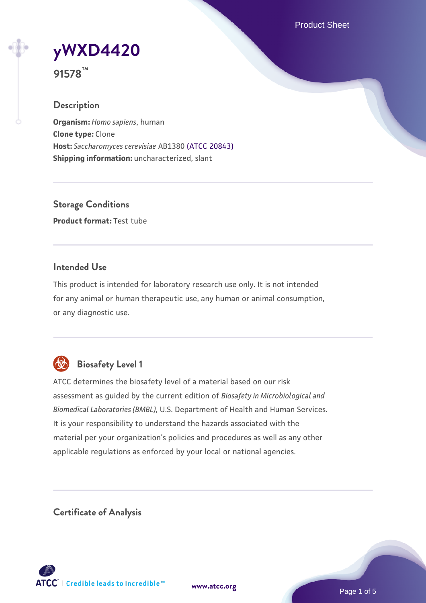Product Sheet



**91578™**

## **Description**

**Organism:** *Homo sapiens*, human **Clone type:** Clone **Host:** *Saccharomyces cerevisiae* AB1380 [\(ATCC 20843\)](https://www.atcc.org/products/20843) **Shipping information:** uncharacterized, slant

**Storage Conditions Product format:** Test tube

## **Intended Use**

This product is intended for laboratory research use only. It is not intended for any animal or human therapeutic use, any human or animal consumption, or any diagnostic use.



## **Biosafety Level 1**

ATCC determines the biosafety level of a material based on our risk assessment as guided by the current edition of *Biosafety in Microbiological and Biomedical Laboratories (BMBL)*, U.S. Department of Health and Human Services. It is your responsibility to understand the hazards associated with the material per your organization's policies and procedures as well as any other applicable regulations as enforced by your local or national agencies.

**Certificate of Analysis**

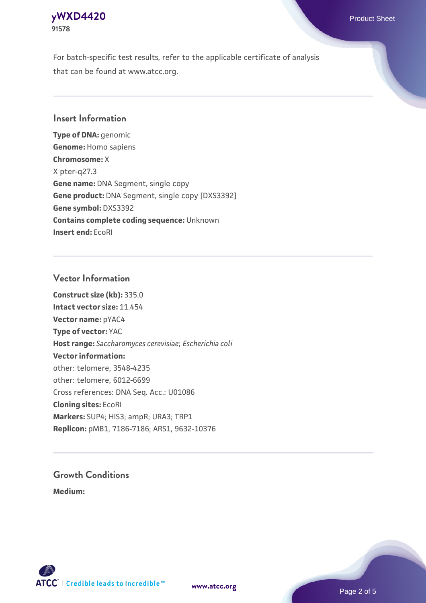## **[yWXD4420](https://www.atcc.org/products/91578)** Product Sheet **91578**

For batch-specific test results, refer to the applicable certificate of analysis that can be found at www.atcc.org.

## **Insert Information**

**Type of DNA:** genomic **Genome:** Homo sapiens **Chromosome:** X X pter-q27.3 **Gene name:** DNA Segment, single copy **Gene product:** DNA Segment, single copy [DXS3392] **Gene symbol:** DXS3392 **Contains complete coding sequence:** Unknown **Insert end:** EcoRI

## **Vector Information**

**Construct size (kb):** 335.0 **Intact vector size:** 11.454 **Vector name:** pYAC4 **Type of vector:** YAC **Host range:** *Saccharomyces cerevisiae*; *Escherichia coli* **Vector information:** other: telomere, 3548-4235 other: telomere, 6012-6699 Cross references: DNA Seq. Acc.: U01086 **Cloning sites:** EcoRI **Markers:** SUP4; HIS3; ampR; URA3; TRP1 **Replicon:** pMB1, 7186-7186; ARS1, 9632-10376

# **Growth Conditions**

**Medium:** 



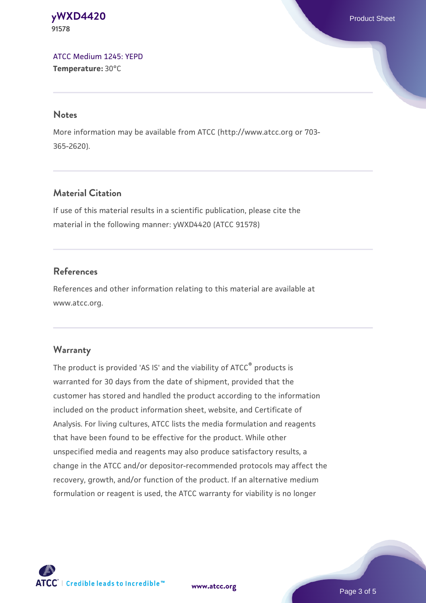#### **[yWXD4420](https://www.atcc.org/products/91578)** Product Sheet **91578**

[ATCC Medium 1245: YEPD](https://www.atcc.org/-/media/product-assets/documents/microbial-media-formulations/1/2/4/5/atcc-medium-1245.pdf?rev=705ca55d1b6f490a808a965d5c072196) **Temperature:** 30°C

#### **Notes**

More information may be available from ATCC (http://www.atcc.org or 703- 365-2620).

## **Material Citation**

If use of this material results in a scientific publication, please cite the material in the following manner: yWXD4420 (ATCC 91578)

## **References**

References and other information relating to this material are available at www.atcc.org.

### **Warranty**

The product is provided 'AS IS' and the viability of ATCC® products is warranted for 30 days from the date of shipment, provided that the customer has stored and handled the product according to the information included on the product information sheet, website, and Certificate of Analysis. For living cultures, ATCC lists the media formulation and reagents that have been found to be effective for the product. While other unspecified media and reagents may also produce satisfactory results, a change in the ATCC and/or depositor-recommended protocols may affect the recovery, growth, and/or function of the product. If an alternative medium formulation or reagent is used, the ATCC warranty for viability is no longer



**[www.atcc.org](http://www.atcc.org)**

Page 3 of 5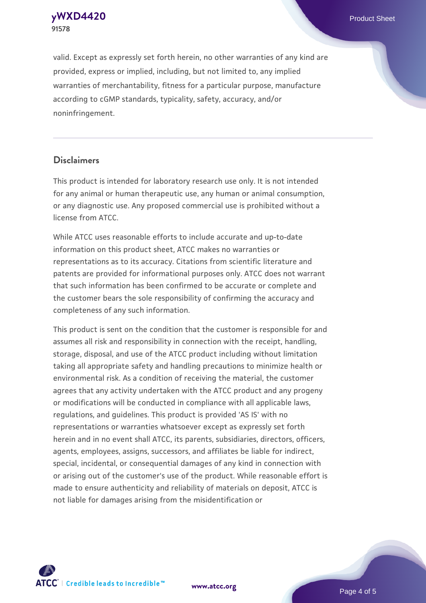**91578**

**[yWXD4420](https://www.atcc.org/products/91578)** Product Sheet

valid. Except as expressly set forth herein, no other warranties of any kind are provided, express or implied, including, but not limited to, any implied warranties of merchantability, fitness for a particular purpose, manufacture according to cGMP standards, typicality, safety, accuracy, and/or noninfringement.

#### **Disclaimers**

This product is intended for laboratory research use only. It is not intended for any animal or human therapeutic use, any human or animal consumption, or any diagnostic use. Any proposed commercial use is prohibited without a license from ATCC.

While ATCC uses reasonable efforts to include accurate and up-to-date information on this product sheet, ATCC makes no warranties or representations as to its accuracy. Citations from scientific literature and patents are provided for informational purposes only. ATCC does not warrant that such information has been confirmed to be accurate or complete and the customer bears the sole responsibility of confirming the accuracy and completeness of any such information.

This product is sent on the condition that the customer is responsible for and assumes all risk and responsibility in connection with the receipt, handling, storage, disposal, and use of the ATCC product including without limitation taking all appropriate safety and handling precautions to minimize health or environmental risk. As a condition of receiving the material, the customer agrees that any activity undertaken with the ATCC product and any progeny or modifications will be conducted in compliance with all applicable laws, regulations, and guidelines. This product is provided 'AS IS' with no representations or warranties whatsoever except as expressly set forth herein and in no event shall ATCC, its parents, subsidiaries, directors, officers, agents, employees, assigns, successors, and affiliates be liable for indirect, special, incidental, or consequential damages of any kind in connection with or arising out of the customer's use of the product. While reasonable effort is made to ensure authenticity and reliability of materials on deposit, ATCC is not liable for damages arising from the misidentification or



**[www.atcc.org](http://www.atcc.org)**

Page 4 of 5